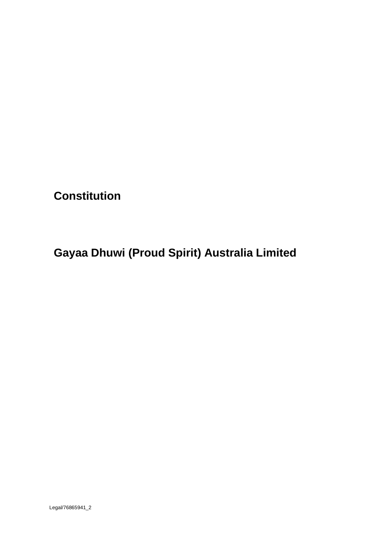**Constitution**

**Gayaa Dhuwi (Proud Spirit) Australia Limited**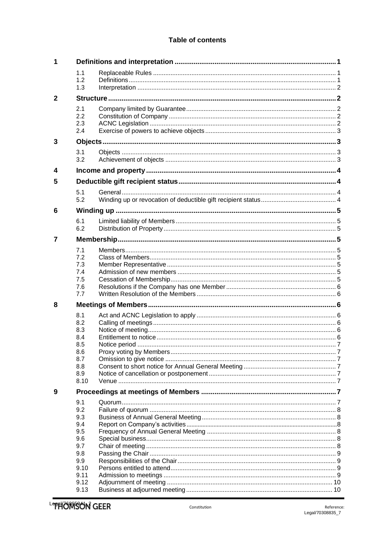# Table of contents

| 1            |                                                                                     |  |  |  |  |
|--------------|-------------------------------------------------------------------------------------|--|--|--|--|
|              | 1.1<br>1.2<br>1.3                                                                   |  |  |  |  |
| $\mathbf{2}$ |                                                                                     |  |  |  |  |
|              | 2.1<br>2.2<br>2.3<br>2.4                                                            |  |  |  |  |
| 3            |                                                                                     |  |  |  |  |
|              | 3.1<br>3.2                                                                          |  |  |  |  |
| 4            |                                                                                     |  |  |  |  |
| 5            |                                                                                     |  |  |  |  |
|              | 5.1<br>5.2                                                                          |  |  |  |  |
| 6            |                                                                                     |  |  |  |  |
|              | 6.1<br>6.2                                                                          |  |  |  |  |
| 7            |                                                                                     |  |  |  |  |
|              | 7.1                                                                                 |  |  |  |  |
|              | 7.2<br>7.3<br>7.4<br>7.5<br>7.6<br>7.7                                              |  |  |  |  |
| 8            |                                                                                     |  |  |  |  |
|              | 8.1<br>8.2<br>8.3<br>8.4<br>8.5<br>8.6<br>8.7<br>8.8<br>8.9<br>8.10                 |  |  |  |  |
| 9            |                                                                                     |  |  |  |  |
|              | 9.1<br>9.2<br>9.3<br>9.4<br>9.5<br>9.6<br>9.7<br>9.8<br>9.9<br>9.10<br>9.11<br>9.12 |  |  |  |  |
|              | 9.13                                                                                |  |  |  |  |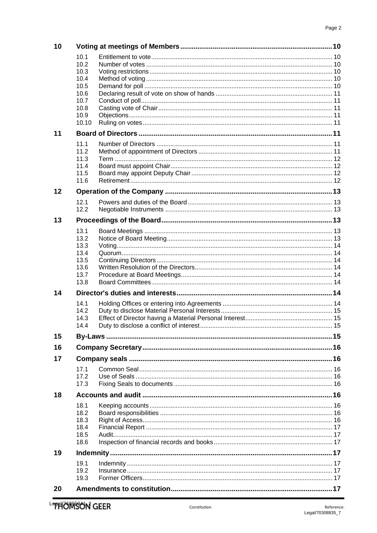| 10 |              |  |  |  |  |
|----|--------------|--|--|--|--|
|    | 10.1         |  |  |  |  |
|    | 10.2         |  |  |  |  |
|    | 10.3         |  |  |  |  |
|    | 10.4         |  |  |  |  |
|    | 10.5<br>10.6 |  |  |  |  |
|    | 10.7         |  |  |  |  |
|    | 10.8         |  |  |  |  |
|    | 10.9         |  |  |  |  |
|    | 10.10        |  |  |  |  |
| 11 |              |  |  |  |  |
|    | 11.1         |  |  |  |  |
|    | 11.2         |  |  |  |  |
|    | 11.3         |  |  |  |  |
|    | 11.4         |  |  |  |  |
|    | 11.5<br>11.6 |  |  |  |  |
|    |              |  |  |  |  |
| 12 |              |  |  |  |  |
|    | 12.1         |  |  |  |  |
|    | 12.2         |  |  |  |  |
| 13 |              |  |  |  |  |
|    | 13.1         |  |  |  |  |
|    | 13.2         |  |  |  |  |
|    | 13.3         |  |  |  |  |
|    | 13.4         |  |  |  |  |
|    | 13.5<br>13.6 |  |  |  |  |
|    | 13.7         |  |  |  |  |
|    | 13.8         |  |  |  |  |
| 14 |              |  |  |  |  |
|    | 14.1         |  |  |  |  |
|    | 14.2         |  |  |  |  |
|    | 14.3         |  |  |  |  |
|    | 14.4         |  |  |  |  |
| 15 |              |  |  |  |  |
| 16 |              |  |  |  |  |
| 17 |              |  |  |  |  |
|    | 17.1         |  |  |  |  |
|    | 17.2         |  |  |  |  |
|    | 17.3         |  |  |  |  |
| 18 |              |  |  |  |  |
|    | 18.1         |  |  |  |  |
|    | 18.2         |  |  |  |  |
|    | 18.3         |  |  |  |  |
|    | 18.4<br>18.5 |  |  |  |  |
|    | 18.6         |  |  |  |  |
| 19 |              |  |  |  |  |
|    | 19.1         |  |  |  |  |
|    | 19.2         |  |  |  |  |
|    | 19.3         |  |  |  |  |
| 20 |              |  |  |  |  |
|    |              |  |  |  |  |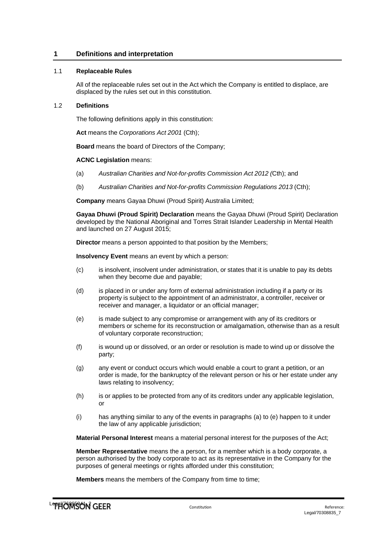# <span id="page-3-0"></span>**1 Definitions and interpretation**

# <span id="page-3-1"></span>1.1 **Replaceable Rules**

All of the replaceable rules set out in the Act which the Company is entitled to displace, are displaced by the rules set out in this constitution.

# <span id="page-3-2"></span>1.2 **Definitions**

The following definitions apply in this constitution:

**Act** means the *Corporations Act 2001* (Cth);

**Board** means the board of Directors of the Company;

# **ACNC Legislation** means:

- (a) *Australian Charities and Not-for-profits Commission Act 2012 (*Cth); and
- (b) *Australian Charities and Not-for-profits Commission Regulations 2013* (Cth);

**Company** means Gayaa Dhuwi (Proud Spirit) Australia Limited;

**Gayaa Dhuwi (Proud Spirit) Declaration** means the Gayaa Dhuwi (Proud Spirit) Declaration developed by the National Aboriginal and Torres Strait Islander Leadership in Mental Health and launched on 27 August 2015;

**Director** means a person appointed to that position by the Members;

**Insolvency Event** means an event by which a person:

- (c) is insolvent, insolvent under administration, or states that it is unable to pay its debts when they become due and payable;
- (d) is placed in or under any form of external administration including if a party or its property is subject to the appointment of an administrator, a controller, receiver or receiver and manager, a liquidator or an official manager;
- (e) is made subject to any compromise or arrangement with any of its creditors or members or scheme for its reconstruction or amalgamation, otherwise than as a result of voluntary corporate reconstruction;
- (f) is wound up or dissolved, or an order or resolution is made to wind up or dissolve the party;
- (g) any event or conduct occurs which would enable a court to grant a petition, or an order is made, for the bankruptcy of the relevant person or his or her estate under any laws relating to insolvency;
- (h) is or applies to be protected from any of its creditors under any applicable legislation, or
- (i) has anything similar to any of the events in paragraphs (a) to (e) happen to it under the law of any applicable jurisdiction;

**Material Personal Interest** means a material personal interest for the purposes of the Act;

**Member Representative** means the a person, for a member which is a body corporate, a person authorised by the body corporate to act as its representative in the Company for the purposes of general meetings or rights afforded under this constitution;

**Members** means the members of the Company from time to time;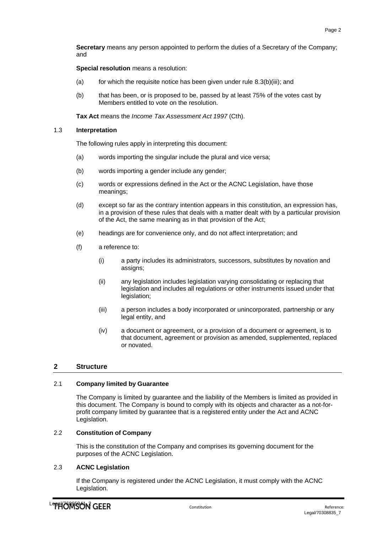**Secretary** means any person appointed to perform the duties of a Secretary of the Company; and

**Special resolution** means a resolution:

- (a) for which the requisite notice has been given under rule  $8.3(b)(iii)$ ; and
- (b) that has been, or is proposed to be, passed by at least 75% of the votes cast by Members entitled to vote on the resolution.

**Tax Act** means the *Income Tax Assessment Act 1997* (Cth).

# <span id="page-4-0"></span>1.3 **Interpretation**

The following rules apply in interpreting this document:

- (a) words importing the singular include the plural and vice versa;
- (b) words importing a gender include any gender;
- (c) words or expressions defined in the Act or the ACNC Legislation, have those meanings;
- (d) except so far as the contrary intention appears in this constitution, an expression has, in a provision of these rules that deals with a matter dealt with by a particular provision of the Act, the same meaning as in that provision of the Act;
- (e) headings are for convenience only, and do not affect interpretation; and
- (f) a reference to:
	- (i) a party includes its administrators, successors, substitutes by novation and assigns;
	- (ii) any legislation includes legislation varying consolidating or replacing that legislation and includes all regulations or other instruments issued under that legislation;
	- (iii) a person includes a body incorporated or unincorporated, partnership or any legal entity, and
	- (iv) a document or agreement, or a provision of a document or agreement, is to that document, agreement or provision as amended, supplemented, replaced or novated.

# <span id="page-4-1"></span>**2 Structure**

# <span id="page-4-2"></span>2.1 **Company limited by Guarantee**

The Company is limited by guarantee and the liability of the Members is limited as provided in this document. The Company is bound to comply with its objects and character as a not-forprofit company limited by guarantee that is a registered entity under the Act and ACNC Legislation.

# <span id="page-4-3"></span>2.2 **Constitution of Company**

This is the constitution of the Company and comprises its governing document for the purposes of the ACNC Legislation.

# <span id="page-4-4"></span>2.3 **ACNC Legislation**

If the Company is registered under the ACNC Legislation, it must comply with the ACNC Legislation.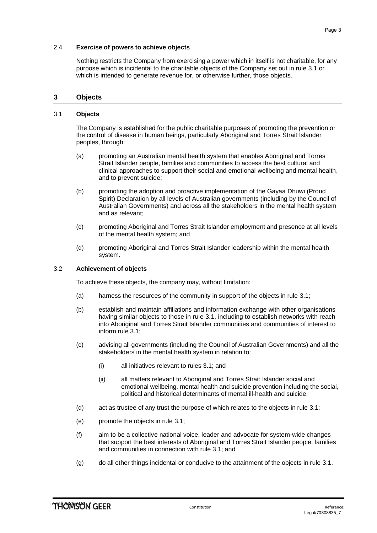# <span id="page-5-0"></span>2.4 **Exercise of powers to achieve objects**

Nothing restricts the Company from exercising a power which in itself is not charitable, for any purpose which is incidental to the charitable objects of the Company set out in rule [3.1 o](#page-5-2)r which is intended to generate revenue for, or otherwise further, those objects.

# <span id="page-5-1"></span>**3 Objects**

### <span id="page-5-2"></span>3.1 **Objects**

The Company is established for the public charitable purposes of promoting the prevention or the control of disease in human beings, particularly Aboriginal and Torres Strait Islander peoples, through:

- (a) promoting an Australian mental health system that enables Aboriginal and Torres Strait Islander people, families and communities to access the best cultural and clinical approaches to support their social and emotional wellbeing and mental health, and to prevent suicide;
- (b) promoting the adoption and proactive implementation of the Gayaa Dhuwi (Proud Spirit) Declaration by all levels of Australian governments (including by the Council of Australian Governments) and across all the stakeholders in the mental health system and as relevant;
- (c) promoting Aboriginal and Torres Strait Islander employment and presence at all levels of the mental health system; and
- (d) promoting Aboriginal and Torres Strait Islander leadership within the mental health system.

#### <span id="page-5-3"></span>3.2 **Achievement of objects**

To achieve these objects, the company may, without limitation:

- (a) harness the resources of the community in support of the objects in rule [3.1;](#page-5-2)
- (b) establish and maintain affiliations and information exchange with other organisations having similar objects to those in rule [3.1, in](#page-5-2)cluding to establish networks with reach into Aboriginal and Torres Strait Islander communities and communities of interest to inform rule [3.1;](#page-5-2)
- (c) advising all governments (including the Council of Australian Governments) and all the stakeholders in the mental health system in relation to:
	- (i) all initiatives relevant to rules [3.1;](#page-5-2) and
	- (ii) all matters relevant to Aboriginal and Torres Strait Islander social and emotional wellbeing, mental health and suicide prevention including the social, political and historical determinants of mental ill-health and suicide;
- (d) act as trustee of any trust the purpose of which relates to the objects in rule [3.1;](#page-5-2)
- (e) promote the objects in rule [3.1;](#page-5-2)
- (f) aim to be a collective national voice, leader and advocate for system-wide changes that support the best interests of Aboriginal and Torres Strait Islander people, families and communities in connection with rule 3.1; and
- (g) do all other things incidental or conducive to the attainment of the objects in rule [3.1.](#page-5-2)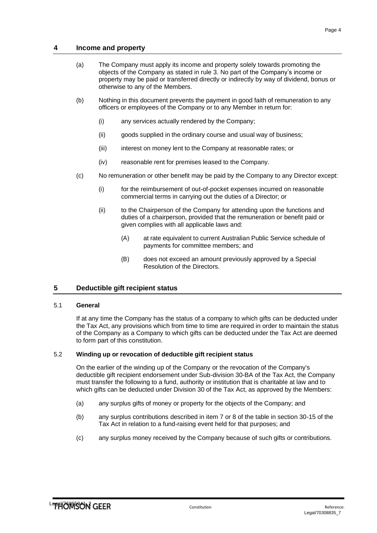# **4 Income and property**

- <span id="page-6-0"></span>(a) The Company must apply its income and property solely towards promoting the objects of the Company as stated in rule [3.](#page-5-1) No part of the Company's income or property may be paid or transferred directly or indirectly by way of dividend, bonus or otherwise to any of the Members.
- (b) Nothing in this document prevents the payment in good faith of remuneration to any officers or employees of the Company or to any Member in return for:
	- (i) any services actually rendered by the Company;
	- (ii) goods supplied in the ordinary course and usual way of business;
	- (iii) interest on money lent to the Company at reasonable rates; or
	- (iv) reasonable rent for premises leased to the Company.
- (c) No remuneration or other benefit may be paid by the Company to any Director except:
	- (i) for the reimbursement of out-of-pocket expenses incurred on reasonable commercial terms in carrying out the duties of a Director; or
	- (ii) to the Chairperson of the Company for attending upon the functions and duties of a chairperson, provided that the remuneration or benefit paid or given complies with all applicable laws and:
		- (A) at rate equivalent to current Australian Public Service schedule of payments for committee members; and
		- (B) does not exceed an amount previously approved by a Special Resolution of the Directors.

# <span id="page-6-1"></span>**5 Deductible gift recipient status**

### <span id="page-6-2"></span>5.1 **General**

If at any time the Company has the status of a company to which gifts can be deducted under the Tax Act, any provisions which from time to time are required in order to maintain the status of the Company as a Company to which gifts can be deducted under the Tax Act are deemed to form part of this constitution.

# <span id="page-6-3"></span>5.2 **Winding up or revocation of deductible gift recipient status**

On the earlier of the winding up of the Company or the revocation of the Company's deductible gift recipient endorsement under Sub-division 30-BA of the Tax Act, the Company must transfer the following to a fund, authority or institution that is charitable at law and to which gifts can be deducted under Division 30 of the Tax Act, as approved by the Members:

- (a) any surplus gifts of money or property for the objects of the Company; and
- (b) any surplus contributions described in item 7 or 8 of the table in section 30-15 of the Tax Act in relation to a fund-raising event held for that purposes; and
- (c) any surplus money received by the Company because of such gifts or contributions.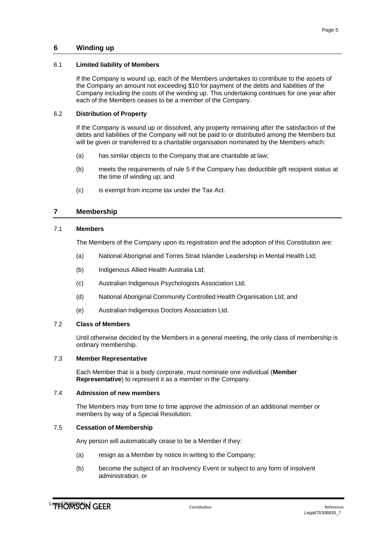# <span id="page-7-1"></span><span id="page-7-0"></span>6.1 **Limited liability of Members**

If the Company is wound up, each of the Members undertakes to contribute to the assets of the Company an amount not exceeding \$10 for payment of the debts and liabilities of the Company including the costs of the winding up. This undertaking continues for one year after each of the Members ceases to be a member of the Company.

# <span id="page-7-2"></span>6.2 **Distribution of Property**

If the Company is wound up or dissolved, any property remaining after the satisfaction of the debts and liabilities of the Company will not be paid to or distributed among the Members but will be given or transferred to a charitable organisation nominated by the Members which:

- (a) has similar objects to the Company that are charitable at law;
- (b) meets the requirements of rule [5 if](#page-6-1) the Company has deductible gift recipient status at the time of winding up; and
- <span id="page-7-3"></span>(c) is exempt from income tax under the Tax Act.

# **7 Membership**

# <span id="page-7-4"></span>7.1 **Members**

The Members of the Company upon its registration and the adoption of this Constitution are:

- (a) National Aboriginal and Torres Strait Islander Leadership in Mental Health Ltd;
- (b) Indigenous Allied Health Australia Ltd;
- (c) Australian Indigenous Psychologists Association Ltd;
- (d) National Aboriginal Community Controlled Health Organisation Ltd; and
- (e) Australian Indigenous Doctors Association Ltd.

### <span id="page-7-5"></span>7.2 **Class of Members**

Until otherwise decided by the Members in a general meeting, the only class of membership is ordinary membership.

### <span id="page-7-6"></span>7.3 **Member Representative**

Each Member that is a body corporate, must nominate one individual (**Member Representative**) to represent it as a member in the Company.

## <span id="page-7-7"></span>7.4 **Admission of new members**

The Members may from time to time approve the admission of an additional member or members by way of a Special Resolution.

### <span id="page-7-8"></span>7.5 **Cessation of Membership**

Any person will automatically cease to be a Member if they:

- (a) resign as a Member by notice in writing to the Company;
- (b) become the subject of an Insolvency Event or subject to any form of insolvent administration; or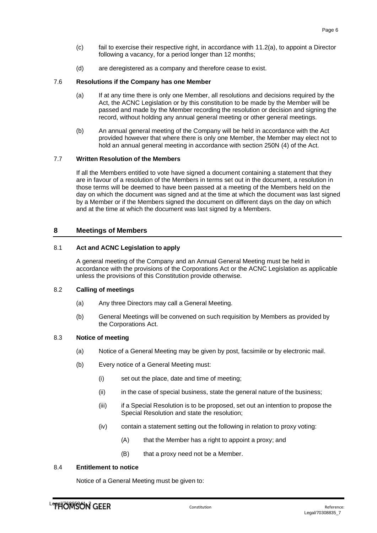- (c) fail to exercise their respective right, in accordance with [11.2\(a\), t](#page-13-8)o appoint a Director following a vacancy, for a period longer than 12 months;
- (d) are deregistered as a company and therefore cease to exist.

# <span id="page-8-0"></span>7.6 **Resolutions if the Company has one Member**

- (a) If at any time there is only one Member, all resolutions and decisions required by the Act, the ACNC Legislation or by this constitution to be made by the Member will be passed and made by the Member recording the resolution or decision and signing the record, without holding any annual general meeting or other general meetings.
- (b) An annual general meeting of the Company will be held in accordance with the Act provided however that where there is only one Member, the Member may elect not to hold an annual general meeting in accordance with section 250N (4) of the Act.

# <span id="page-8-1"></span>7.7 **Written Resolution of the Members**

If all the Members entitled to vote have signed a document containing a statement that they are in favour of a resolution of the Members in terms set out in the document, a resolution in those terms will be deemed to have been passed at a meeting of the Members held on the day on which the document was signed and at the time at which the document was last signed by a Member or if the Members signed the document on different days on the day on which and at the time at which the document was last signed by a Members.

# <span id="page-8-2"></span>**8 Meetings of Members**

# <span id="page-8-3"></span>8.1 **Act and ACNC Legislation to apply**

A general meeting of the Company and an Annual General Meeting must be held in accordance with the provisions of the Corporations Act or the ACNC Legislation as applicable unless the provisions of this Constitution provide otherwise.

### <span id="page-8-4"></span>8.2 **Calling of meetings**

- (a) Any three Directors may call a General Meeting.
- (b) General Meetings will be convened on such requisition by Members as provided by the Corporations Act.

# <span id="page-8-5"></span>8.3 **Notice of meeting**

- (a) Notice of a General Meeting may be given by post, facsimile or by electronic mail.
- <span id="page-8-7"></span>(b) Every notice of a General Meeting must:
	- (i) set out the place, date and time of meeting;
	- (ii) in the case of special business, state the general nature of the business;
	- (iii) if a Special Resolution is to be proposed, set out an intention to propose the Special Resolution and state the resolution;
	- (iv) contain a statement setting out the following in relation to proxy voting:
		- (A) that the Member has a right to appoint a proxy; and
		- (B) that a proxy need not be a Member.

# <span id="page-8-6"></span>8.4 **Entitlement to notice**

Notice of a General Meeting must be given to: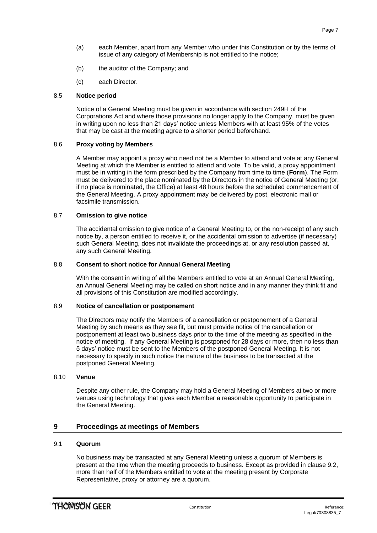- (a) each Member, apart from any Member who under this Constitution or by the terms of issue of any category of Membership is not entitled to the notice;
- (b) the auditor of the Company; and
- (c) each Director.

# <span id="page-9-0"></span>8.5 **Notice period**

Notice of a General Meeting must be given in accordance with section 249H of the Corporations Act and where those provisions no longer apply to the Company, must be given in writing upon no less than 21 days' notice unless Members with at least 95% of the votes that may be cast at the meeting agree to a shorter period beforehand.

### <span id="page-9-1"></span>8.6 **Proxy voting by Members**

A Member may appoint a proxy who need not be a Member to attend and vote at any General Meeting at which the Member is entitled to attend and vote. To be valid, a proxy appointment must be in writing in the form prescribed by the Company from time to time (**Form**). The Form must be delivered to the place nominated by the Directors in the notice of General Meeting (or, if no place is nominated, the Office) at least 48 hours before the scheduled commencement of the General Meeting. A proxy appointment may be delivered by post, electronic mail or facsimile transmission.

# <span id="page-9-2"></span>8.7 **Omission to give notice**

The accidental omission to give notice of a General Meeting to, or the non-receipt of any such notice by, a person entitled to receive it, or the accidental omission to advertise (if necessary) such General Meeting, does not invalidate the proceedings at, or any resolution passed at, any such General Meeting.

### <span id="page-9-3"></span>8.8 **Consent to short notice for Annual General Meeting**

With the consent in writing of all the Members entitled to vote at an Annual General Meeting, an Annual General Meeting may be called on short notice and in any manner they think fit and all provisions of this Constitution are modified accordingly.

# <span id="page-9-4"></span>8.9 **Notice of cancellation or postponement**

The Directors may notify the Members of a cancellation or postponement of a General Meeting by such means as they see fit, but must provide notice of the cancellation or postponement at least two business days prior to the time of the meeting as specified in the notice of meeting. If any General Meeting is postponed for 28 days or more, then no less than 5 days' notice must be sent to the Members of the postponed General Meeting. It is not necessary to specify in such notice the nature of the business to be transacted at the postponed General Meeting.

### <span id="page-9-5"></span>8.10 **Venue**

Despite any other rule, the Company may hold a General Meeting of Members at two or more venues using technology that gives each Member a reasonable opportunity to participate in the General Meeting.

# <span id="page-9-6"></span>**9 Proceedings at meetings of Members**

### <span id="page-9-7"></span>9.1 **Quorum**

No business may be transacted at any General Meeting unless a quorum of Members is present at the time when the meeting proceeds to business. Except as provided in clause [9.2,](#page-10-0) more than half of the Members entitled to vote at the meeting present by Corporate Representative, proxy or attorney are a quorum.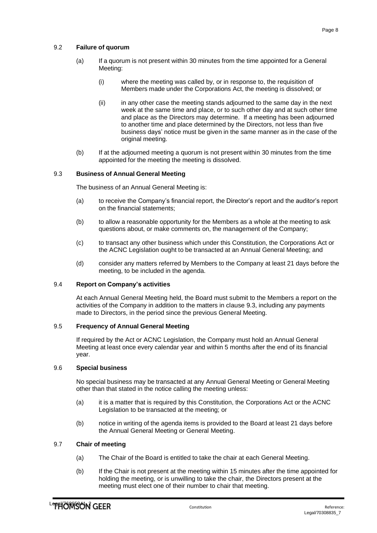# <span id="page-10-0"></span>9.2 **Failure of quorum**

- (a) If a quorum is not present within 30 minutes from the time appointed for a General Meeting:
	- (i) where the meeting was called by, or in response to, the requisition of Members made under the Corporations Act, the meeting is dissolved; or
	- (ii) in any other case the meeting stands adjourned to the same day in the next week at the same time and place, or to such other day and at such other time and place as the Directors may determine. If a meeting has been adjourned to another time and place determined by the Directors, not less than five business days' notice must be given in the same manner as in the case of the original meeting.
- (b) If at the adjourned meeting a quorum is not present within 30 minutes from the time appointed for the meeting the meeting is dissolved.

### <span id="page-10-1"></span>9.3 **Business of Annual General Meeting**

The business of an Annual General Meeting is:

- (a) to receive the Company's financial report, the Director's report and the auditor's report on the financial statements;
- (b) to allow a reasonable opportunity for the Members as a whole at the meeting to ask questions about, or make comments on, the management of the Company;
- (c) to transact any other business which under this Constitution, the Corporations Act or the ACNC Legislation ought to be transacted at an Annual General Meeting; and
- (d) consider any matters referred by Members to the Company at least 21 days before the meeting, to be included in the agenda.

# <span id="page-10-2"></span>9.4 **Report on Company's activities**

At each Annual General Meeting held, the Board must submit to the Members a report on the activities of the Company in addition to the matters in clause [9.3, i](#page-10-1)ncluding any payments made to Directors, in the period since the previous General Meeting.

# <span id="page-10-3"></span>9.5 **Frequency of Annual General Meeting**

If required by the Act or ACNC Legislation, the Company must hold an Annual General Meeting at least once every calendar year and within 5 months after the end of its financial year.

# <span id="page-10-4"></span>9.6 **Special business**

No special business may be transacted at any Annual General Meeting or General Meeting other than that stated in the notice calling the meeting unless:

- (a) it is a matter that is required by this Constitution, the Corporations Act or the ACNC Legislation to be transacted at the meeting; or
- (b) notice in writing of the agenda items is provided to the Board at least 21 days before the Annual General Meeting or General Meeting.

# <span id="page-10-5"></span>9.7 **Chair of meeting**

- (a) The Chair of the Board is entitled to take the chair at each General Meeting.
- (b) If the Chair is not present at the meeting within 15 minutes after the time appointed for holding the meeting, or is unwilling to take the chair, the Directors present at the meeting must elect one of their number to chair that meeting.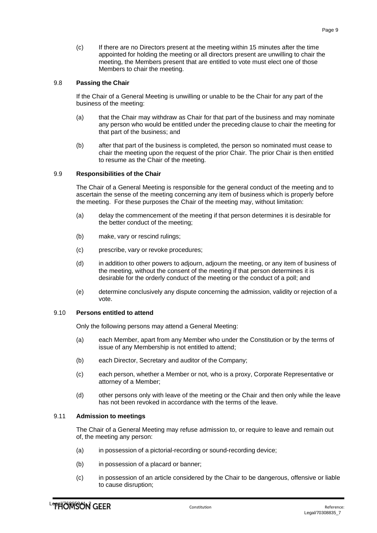(c) If there are no Directors present at the meeting within 15 minutes after the time appointed for holding the meeting or all directors present are unwilling to chair the meeting, the Members present that are entitled to vote must elect one of those Members to chair the meeting.

# <span id="page-11-0"></span>9.8 **Passing the Chair**

If the Chair of a General Meeting is unwilling or unable to be the Chair for any part of the business of the meeting:

- (a) that the Chair may withdraw as Chair for that part of the business and may nominate any person who would be entitled under the preceding clause to chair the meeting for that part of the business; and
- (b) after that part of the business is completed, the person so nominated must cease to chair the meeting upon the request of the prior Chair. The prior Chair is then entitled to resume as the Chair of the meeting.

# <span id="page-11-1"></span>9.9 **Responsibilities of the Chair**

The Chair of a General Meeting is responsible for the general conduct of the meeting and to ascertain the sense of the meeting concerning any item of business which is properly before the meeting. For these purposes the Chair of the meeting may, without limitation:

- (a) delay the commencement of the meeting if that person determines it is desirable for the better conduct of the meeting;
- (b) make, vary or rescind rulings;
- (c) prescribe, vary or revoke procedures;
- (d) in addition to other powers to adjourn, adjourn the meeting, or any item of business of the meeting, without the consent of the meeting if that person determines it is desirable for the orderly conduct of the meeting or the conduct of a poll; and
- (e) determine conclusively any dispute concerning the admission, validity or rejection of a vote.

# <span id="page-11-2"></span>9.10 **Persons entitled to attend**

Only the following persons may attend a General Meeting:

- (a) each Member, apart from any Member who under the Constitution or by the terms of issue of any Membership is not entitled to attend;
- (b) each Director, Secretary and auditor of the Company;
- (c) each person, whether a Member or not, who is a proxy, Corporate Representative or attorney of a Member;
- (d) other persons only with leave of the meeting or the Chair and then only while the leave has not been revoked in accordance with the terms of the leave.

# <span id="page-11-3"></span>9.11 **Admission to meetings**

The Chair of a General Meeting may refuse admission to, or require to leave and remain out of, the meeting any person:

- (a) in possession of a pictorial-recording or sound-recording device;
- (b) in possession of a placard or banner;
- (c) in possession of an article considered by the Chair to be dangerous, offensive or liable to cause disruption;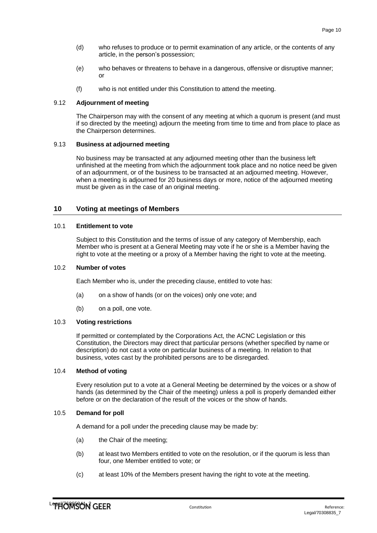- (d) who refuses to produce or to permit examination of any article, or the contents of any article, in the person's possession;
- (e) who behaves or threatens to behave in a dangerous, offensive or disruptive manner; or
- (f) who is not entitled under this Constitution to attend the meeting.

# <span id="page-12-0"></span>9.12 **Adjournment of meeting**

The Chairperson may with the consent of any meeting at which a quorum is present (and must if so directed by the meeting) adjourn the meeting from time to time and from place to place as the Chairperson determines.

### <span id="page-12-1"></span>9.13 **Business at adjourned meeting**

No business may be transacted at any adjourned meeting other than the business left unfinished at the meeting from which the adjournment took place and no notice need be given of an adjournment, or of the business to be transacted at an adjourned meeting. However, when a meeting is adjourned for 20 business days or more, notice of the adjourned meeting must be given as in the case of an original meeting.

# <span id="page-12-2"></span>**10 Voting at meetings of Members**

### <span id="page-12-3"></span>10.1 **Entitlement to vote**

Subject to this Constitution and the terms of issue of any category of Membership, each Member who is present at a General Meeting may vote if he or she is a Member having the right to vote at the meeting or a proxy of a Member having the right to vote at the meeting.

### <span id="page-12-4"></span>10.2 **Number of votes**

Each Member who is, under the preceding clause, entitled to vote has:

- (a) on a show of hands (or on the voices) only one vote; and
- (b) on a poll, one vote.

### <span id="page-12-5"></span>10.3 **Voting restrictions**

If permitted or contemplated by the Corporations Act, the ACNC Legislation or this Constitution, the Directors may direct that particular persons (whether specified by name or description) do not cast a vote on particular business of a meeting. In relation to that business, votes cast by the prohibited persons are to be disregarded.

### <span id="page-12-6"></span>10.4 **Method of voting**

Every resolution put to a vote at a General Meeting be determined by the voices or a show of hands (as determined by the Chair of the meeting) unless a poll is properly demanded either before or on the declaration of the result of the voices or the show of hands.

# <span id="page-12-7"></span>10.5 **Demand for poll**

A demand for a poll under the preceding clause may be made by:

- (a) the Chair of the meeting;
- (b) at least two Members entitled to vote on the resolution, or if the quorum is less than four, one Member entitled to vote; or
- (c) at least 10% of the Members present having the right to vote at the meeting.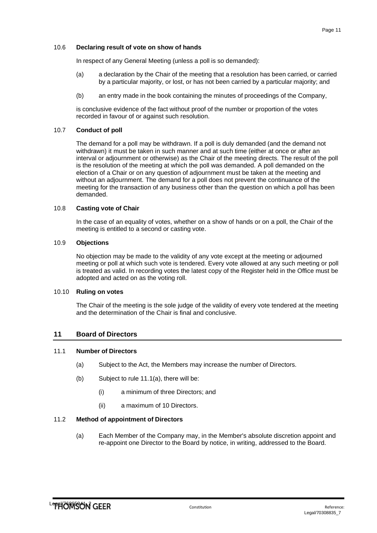### <span id="page-13-0"></span>10.6 **Declaring result of vote on show of hands**

In respect of any General Meeting (unless a poll is so demanded):

- (a) a declaration by the Chair of the meeting that a resolution has been carried, or carried by a particular majority, or lost, or has not been carried by a particular majority; and
- (b) an entry made in the book containing the minutes of proceedings of the Company,

is conclusive evidence of the fact without proof of the number or proportion of the votes recorded in favour of or against such resolution.

# <span id="page-13-1"></span>10.7 **Conduct of poll**

The demand for a poll may be withdrawn. If a poll is duly demanded (and the demand not withdrawn) it must be taken in such manner and at such time (either at once or after an interval or adjournment or otherwise) as the Chair of the meeting directs. The result of the poll is the resolution of the meeting at which the poll was demanded. A poll demanded on the election of a Chair or on any question of adjournment must be taken at the meeting and without an adjournment. The demand for a poll does not prevent the continuance of the meeting for the transaction of any business other than the question on which a poll has been demanded.

### <span id="page-13-2"></span>10.8 **Casting vote of Chair**

In the case of an equality of votes, whether on a show of hands or on a poll, the Chair of the meeting is entitled to a second or casting vote.

# <span id="page-13-3"></span>10.9 **Objections**

No objection may be made to the validity of any vote except at the meeting or adjourned meeting or poll at which such vote is tendered. Every vote allowed at any such meeting or poll is treated as valid. In recording votes the latest copy of the Register held in the Office must be adopted and acted on as the voting roll.

### <span id="page-13-4"></span>10.10 **Ruling on votes**

The Chair of the meeting is the sole judge of the validity of every vote tendered at the meeting and the determination of the Chair is final and conclusive.

### <span id="page-13-5"></span>**11 Board of Directors**

### <span id="page-13-9"></span><span id="page-13-6"></span>11.1 **Number of Directors**

- (a) Subject to the Act, the Members may increase the number of Directors.
- (b) Subject to rule [11.1\(a\),](#page-13-9) there will be:
	- (i) a minimum of three Directors; and
	- (ii) a maximum of 10 Directors.

### <span id="page-13-8"></span><span id="page-13-7"></span>11.2 **Method of appointment of Directors**

(a) Each Member of the Company may, in the Member's absolute discretion appoint and re-appoint one Director to the Board by notice, in writing, addressed to the Board.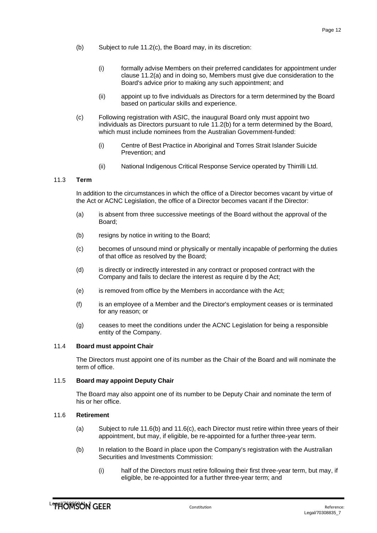- <span id="page-14-5"></span>(b) Subject to rule [11.2\(c\),](#page-14-4) the Board may, in its discretion:
	- (i) formally advise Members on their preferred candidates for appointment under clause [11.2\(a\) a](#page-13-8)nd in doing so, Members must give due consideration to the Board's advice prior to making any such appointment; and
	- (ii) appoint up to five individuals as Directors for a term determined by the Board based on particular skills and experience.
- <span id="page-14-4"></span>(c) Following registration with ASIC, the inaugural Board only must appoint two individuals as Directors pursuant to rule [11.2\(b\) f](#page-14-5)or a term determined by the Board, which must include nominees from the Australian Government-funded:
	- (i) Centre of Best Practice in Aboriginal and Torres Strait Islander Suicide Prevention; and
	- (ii) National Indigenous Critical Response Service operated by Thirrilli Ltd.

# <span id="page-14-0"></span>11.3 **Term**

In addition to the circumstances in which the office of a Director becomes vacant by virtue of the Act or ACNC Legislation, the office of a Director becomes vacant if the Director:

- (a) is absent from three successive meetings of the Board without the approval of the Board;
- (b) resigns by notice in writing to the Board;
- (c) becomes of unsound mind or physically or mentally incapable of performing the duties of that office as resolved by the Board;
- (d) is directly or indirectly interested in any contract or proposed contract with the Company and fails to declare the interest as require d by the Act;
- (e) is removed from office by the Members in accordance with the Act;
- (f) is an employee of a Member and the Director's employment ceases or is terminated for any reason; or
- (g) ceases to meet the conditions under the ACNC Legislation for being a responsible entity of the Company.

### <span id="page-14-1"></span>11.4 **Board must appoint Chair**

The Directors must appoint one of its number as the Chair of the Board and will nominate the term of office.

### <span id="page-14-2"></span>11.5 **Board may appoint Deputy Chair**

The Board may also appoint one of its number to be Deputy Chair and nominate the term of his or her office.

### <span id="page-14-3"></span>11.6 **Retirement**

- (a) Subject to rule [11.6\(b\)](#page-14-6) and [11.6\(c\),](#page-15-6) each Director must retire within three years of their appointment, but may, if eligible, be re-appointed for a further three-year term.
- <span id="page-14-6"></span>(b) In relation to the Board in place upon the Company's registration with the Australian Securities and Investments Commission:
	- (i) half of the Directors must retire following their first three-year term, but may, if eligible, be re-appointed for a further three-year term; and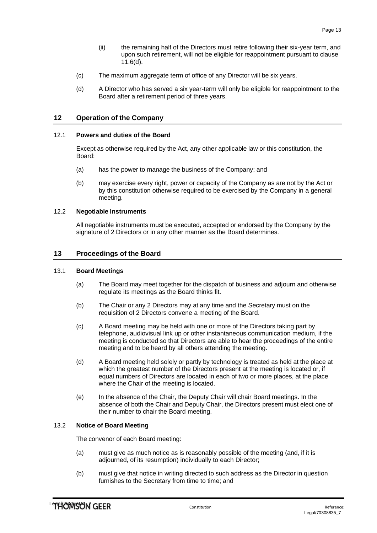- (ii) the remaining half of the Directors must retire following their six-year term, and upon such retirement, will not be eligible for reappointment pursuant to clause [11.6\(d\).](#page-15-7)
- <span id="page-15-6"></span>(c) The maximum aggregate term of office of any Director will be six years.
- <span id="page-15-7"></span>(d) A Director who has served a six year-term will only be eligible for reappointment to the Board after a retirement period of three years.

# <span id="page-15-0"></span>**12 Operation of the Company**

### <span id="page-15-1"></span>12.1 **Powers and duties of the Board**

Except as otherwise required by the Act, any other applicable law or this constitution, the Board:

- (a) has the power to manage the business of the Company; and
- (b) may exercise every right, power or capacity of the Company as are not by the Act or by this constitution otherwise required to be exercised by the Company in a general meeting.

### <span id="page-15-2"></span>12.2 **Negotiable Instruments**

All negotiable instruments must be executed, accepted or endorsed by the Company by the signature of 2 Directors or in any other manner as the Board determines.

# <span id="page-15-3"></span>**13 Proceedings of the Board**

### <span id="page-15-4"></span>13.1 **Board Meetings**

- (a) The Board may meet together for the dispatch of business and adjourn and otherwise regulate its meetings as the Board thinks fit.
- (b) The Chair or any 2 Directors may at any time and the Secretary must on the requisition of 2 Directors convene a meeting of the Board.
- (c) A Board meeting may be held with one or more of the Directors taking part by telephone, audiovisual link up or other instantaneous communication medium, if the meeting is conducted so that Directors are able to hear the proceedings of the entire meeting and to be heard by all others attending the meeting.
- (d) A Board meeting held solely or partly by technology is treated as held at the place at which the greatest number of the Directors present at the meeting is located or, if equal numbers of Directors are located in each of two or more places, at the place where the Chair of the meeting is located.
- (e) In the absence of the Chair, the Deputy Chair will chair Board meetings. In the absence of both the Chair and Deputy Chair, the Directors present must elect one of their number to chair the Board meeting.

### <span id="page-15-5"></span>13.2 **Notice of Board Meeting**

The convenor of each Board meeting:

- (a) must give as much notice as is reasonably possible of the meeting (and, if it is adjourned, of its resumption) individually to each Director;
- (b) must give that notice in writing directed to such address as the Director in question furnishes to the Secretary from time to time; and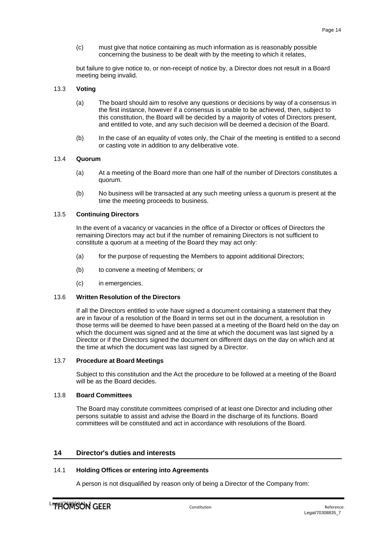(c) must give that notice containing as much information as is reasonably possible concerning the business to be dealt with by the meeting to which it relates,

but failure to give notice to, or non-receipt of notice by, a Director does not result in a Board meeting being invalid.

### <span id="page-16-0"></span>13.3 **Voting**

- (a) The board should aim to resolve any questions or decisions by way of a consensus in the first instance, however if a consensus is unable to be achieved, then, subject to this constitution, the Board will be decided by a majority of votes of Directors present, and entitled to vote, and any such decision will be deemed a decision of the Board.
- (b) In the case of an equality of votes only, the Chair of the meeting is entitled to a second or casting vote in addition to any deliberative vote.

### <span id="page-16-1"></span>13.4 **Quorum**

- (a) At a meeting of the Board more than one half of the number of Directors constitutes a quorum.
- (b) No business will be transacted at any such meeting unless a quorum is present at the time the meeting proceeds to business.

#### <span id="page-16-2"></span>13.5 **Continuing Directors**

In the event of a vacancy or vacancies in the office of a Director or offices of Directors the remaining Directors may act but if the number of remaining Directors is not sufficient to constitute a quorum at a meeting of the Board they may act only:

- (a) for the purpose of requesting the Members to appoint additional Directors;
- (b) to convene a meeting of Members; or
- (c) in emergencies.

#### <span id="page-16-3"></span>13.6 **Written Resolution of the Directors**

If all the Directors entitled to vote have signed a document containing a statement that they are in favour of a resolution of the Board in terms set out in the document, a resolution in those terms will be deemed to have been passed at a meeting of the Board held on the day on which the document was signed and at the time at which the document was last signed by a Director or if the Directors signed the document on different days on the day on which and at the time at which the document was last signed by a Director.

#### <span id="page-16-4"></span>13.7 **Procedure at Board Meetings**

Subject to this constitution and the Act the procedure to be followed at a meeting of the Board will be as the Board decides.

#### <span id="page-16-5"></span>13.8 **Board Committees**

The Board may constitute committees comprised of at least one Director and including other persons suitable to assist and advise the Board in the discharge of its functions. Board committees will be constituted and act in accordance with resolutions of the Board.

# <span id="page-16-6"></span>**14 Director's duties and interests**

### <span id="page-16-7"></span>14.1 **Holding Offices or entering into Agreements**

A person is not disqualified by reason only of being a Director of the Company from: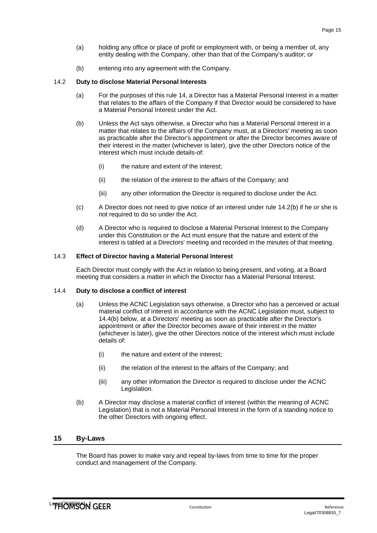- (a) holding any office or place of profit or employment with, or being a member of, any entity dealing with the Company, other than that of the Company's auditor; or
- (b) entering into any agreement with the Company.

# <span id="page-17-0"></span>14.2 **Duty to disclose Material Personal Interests**

- (a) For the purposes of this rule [14,](#page-16-6) a Director has a Material Personal Interest in a matter that relates to the affairs of the Company if that Director would be considered to have a Material Personal Interest under the Act.
- <span id="page-17-4"></span>(b) Unless the Act says otherwise, a Director who has a Material Personal Interest in a matter that relates to the affairs of the Company must, at a Directors' meeting as soon as practicable after the Director's appointment or after the Director becomes aware of their interest in the matter (whichever is later), give the other Directors notice of the interest which must include details-of:
	- (i) the nature and extent of the interest;
	- (ii) the relation of the interest to the affairs of the Company; and
	- (iii) any other information the Director is required to disclose under the Act.
- (c) A Director does not need to give notice of an interest under rule [14.2\(b\) i](#page-17-4)f he or she is not required to do so under the Act.
- (d) A Director who is required to disclose a Material Personal Interest to the Company under this Constitution or the Act must ensure that the nature and extent of the interest is tabled at a Directors' meeting and recorded in the minutes of that meeting.

# <span id="page-17-1"></span>14.3 **Effect of Director having a Material Personal Interest**

Each Director must comply with the Act in relation to being present, and voting, at a Board meeting that considers a matter in which the Director has a Material Personal Interest.

### <span id="page-17-2"></span>14.4 **Duty to disclose a conflict of interest**

- (a) Unless the ACNC Legislation says otherwise, a Director who has a perceived or actual material conflict of interest in accordance with the ACNC Legislation must, subject to [14.4\(b\) b](#page-17-5)elow, at a Directors' meeting as soon as practicable after the Director's appointment or after the Director becomes aware of their interest in the matter (whichever is later), give the other Directors notice of the interest which must include details of:
	- (i) the nature and extent of the interest;
	- (ii) the relation of the interest to the affairs of the Company; and
	- (iii) any other information the Director is required to disclose under the ACNC Legislation.
- <span id="page-17-5"></span>(b) A Director may disclose a material conflict of interest (within the meaning of ACNC Legislation) that is not a Material Personal Interest in the form of a standing notice to the other Directors with ongoing effect.

# <span id="page-17-3"></span>**15 By-Laws**

The Board has power to make vary and repeal by-laws from time to time for the proper conduct and management of the Company.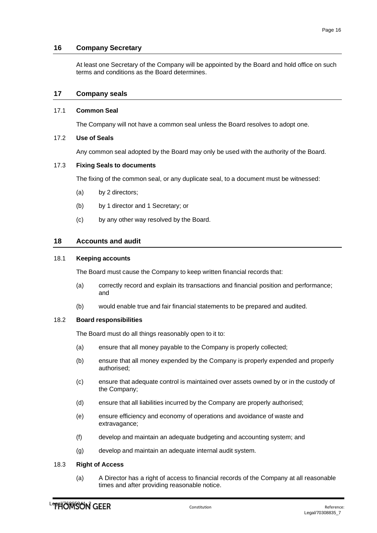# **16 Company Secretary**

<span id="page-18-0"></span>At least one Secretary of the Company will be appointed by the Board and hold office on such terms and conditions as the Board determines.

# <span id="page-18-1"></span>**17 Company seals**

# <span id="page-18-2"></span>17.1 **Common Seal**

The Company will not have a common seal unless the Board resolves to adopt one.

# <span id="page-18-3"></span>17.2 **Use of Seals**

Any common seal adopted by the Board may only be used with the authority of the Board.

### <span id="page-18-4"></span>17.3 **Fixing Seals to documents**

The fixing of the common seal, or any duplicate seal, to a document must be witnessed:

- (a) by 2 directors;
- (b) by 1 director and 1 Secretary; or
- <span id="page-18-5"></span>(c) by any other way resolved by the Board.

### **18 Accounts and audit**

# <span id="page-18-6"></span>18.1 **Keeping accounts**

The Board must cause the Company to keep written financial records that:

- (a) correctly record and explain its transactions and financial position and performance; and
- (b) would enable true and fair financial statements to be prepared and audited.

### <span id="page-18-7"></span>18.2 **Board responsibilities**

The Board must do all things reasonably open to it to:

- (a) ensure that all money payable to the Company is properly collected;
- (b) ensure that all money expended by the Company is properly expended and properly authorised;
- (c) ensure that adequate control is maintained over assets owned by or in the custody of the Company;
- (d) ensure that all liabilities incurred by the Company are properly authorised;
- (e) ensure efficiency and economy of operations and avoidance of waste and extravagance;
- (f) develop and maintain an adequate budgeting and accounting system; and
- (g) develop and maintain an adequate internal audit system.

### <span id="page-18-8"></span>18.3 **Right of Access**

(a) A Director has a right of access to financial records of the Company at all reasonable times and after providing reasonable notice.